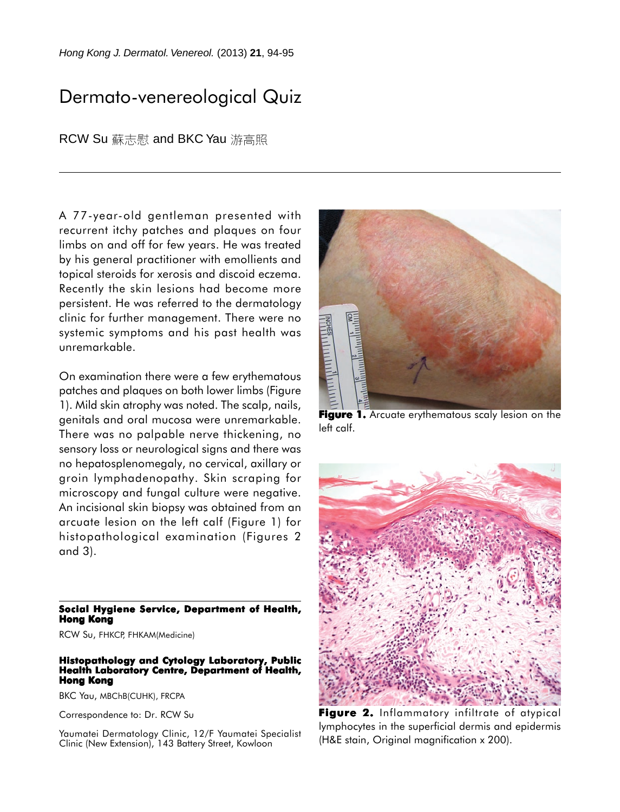## Dermato-venereological Quiz

RCW Su 蘇志慰 and BKC Yau 游高照

A 77-year-old gentleman presented with recurrent itchy patches and plaques on four limbs on and off for few years. He was treated by his general practitioner with emollients and topical steroids for xerosis and discoid eczema. Recently the skin lesions had become more persistent. He was referred to the dermatology clinic for further management. There were no systemic symptoms and his past health was unremarkable.

On examination there were a few erythematous patches and plaques on both lower limbs (Figure 1). Mild skin atrophy was noted. The scalp, nails, genitals and oral mucosa were unremarkable. There was no palpable nerve thickening, no sensory loss or neurological signs and there was no hepatosplenomegaly, no cervical, axillary or groin lymphadenopathy. Skin scraping for microscopy and fungal culture were negative. An incisional skin biopsy was obtained from an arcuate lesion on the left calf (Figure 1) for histopathological examination (Figures 2 and 3).

## **Social Hygiene Service, Department of Health, Hong Kong**

RCW Su, FHKCP, FHKAM(Medicine)

## **Histopathology and Cytology Laboratory, Public Health Laboratory Centre, Department of Health, Hong Kong**

BKC Yau, MBChB(CUHK), FRCPA

Correspondence to: Dr. RCW Su

Yaumatei Dermatology Clinic, 12/F Yaumatei Specialist Clinic (New Extension), 143 Battery Street, Kowloon



**Figure 1.** Arcuate erythematous scaly lesion on the left calf.



Figure 2. Inflammatory infiltrate of atypical lymphocytes in the superficial dermis and epidermis (H&E stain, Original magnification x 200).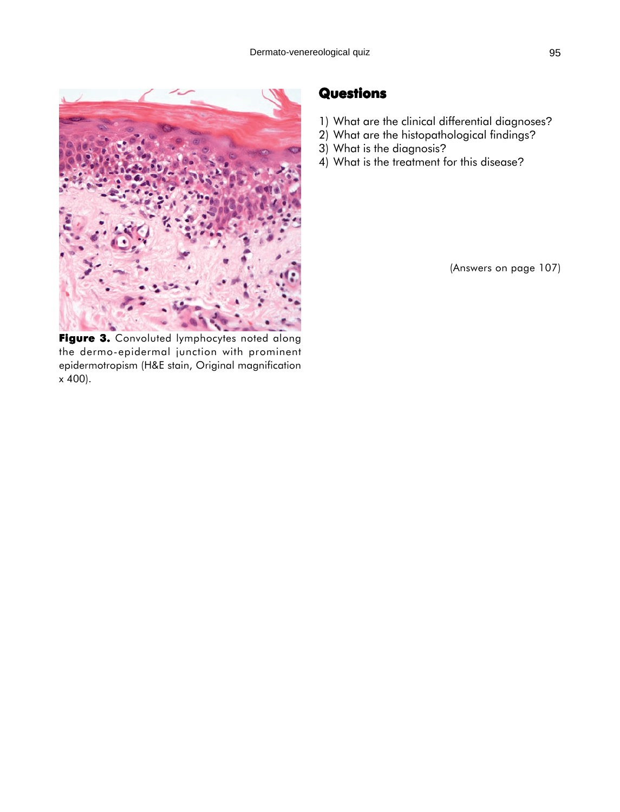

Figure 3. Convoluted lymphocytes noted along the dermo-epidermal junction with prominent epidermotropism (H&E stain, Original magnification x 400).

## **Questions**

- 1) What are the clinical differential diagnoses?
- 2) What are the histopathological findings?
- 3) What is the diagnosis?
- 4) What is the treatment for this disease?

(Answers on page 107)